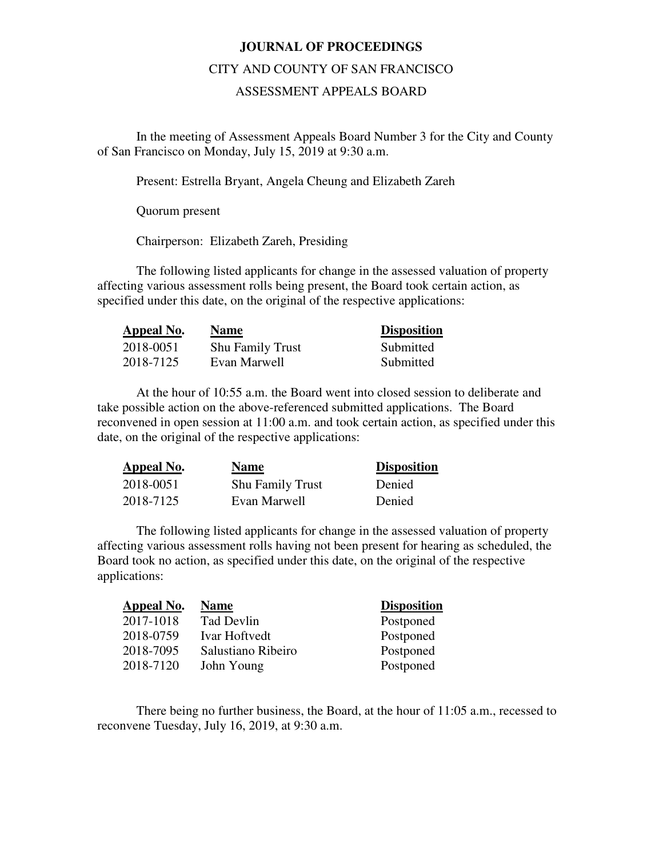### **JOURNAL OF PROCEEDINGS**

#### CITY AND COUNTY OF SAN FRANCISCO

### ASSESSMENT APPEALS BOARD

 In the meeting of Assessment Appeals Board Number 3 for the City and County of San Francisco on Monday, July 15, 2019 at 9:30 a.m.

Present: Estrella Bryant, Angela Cheung and Elizabeth Zareh

Quorum present

Chairperson: Elizabeth Zareh, Presiding

The following listed applicants for change in the assessed valuation of property affecting various assessment rolls being present, the Board took certain action, as specified under this date, on the original of the respective applications:

| Appeal No. | <b>Name</b>             | <b>Disposition</b> |
|------------|-------------------------|--------------------|
| 2018-0051  | <b>Shu Family Trust</b> | Submitted          |
| 2018-7125  | Evan Marwell            | Submitted          |

At the hour of 10:55 a.m. the Board went into closed session to deliberate and take possible action on the above-referenced submitted applications. The Board reconvened in open session at 11:00 a.m. and took certain action, as specified under this date, on the original of the respective applications:

| Appeal No. | <b>Name</b>             | <b>Disposition</b> |
|------------|-------------------------|--------------------|
| 2018-0051  | <b>Shu Family Trust</b> | Denied             |
| 2018-7125  | Evan Marwell            | Denied             |

The following listed applicants for change in the assessed valuation of property affecting various assessment rolls having not been present for hearing as scheduled, the Board took no action, as specified under this date, on the original of the respective applications:

| <b>Appeal No.</b> | <b>Name</b>        | <b>Disposition</b> |
|-------------------|--------------------|--------------------|
| 2017-1018         | Tad Devlin         | Postponed          |
| 2018-0759         | Ivar Hoftvedt      | Postponed          |
| 2018-7095         | Salustiano Ribeiro | Postponed          |
| 2018-7120         | John Young         | Postponed          |

There being no further business, the Board, at the hour of 11:05 a.m., recessed to reconvene Tuesday, July 16, 2019, at 9:30 a.m.